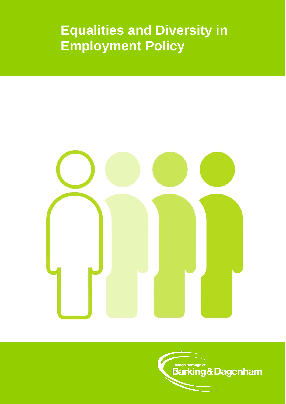# **Equalities and Diversity in Employment Policy**



**London Borough of**<br>Barking & Dagenham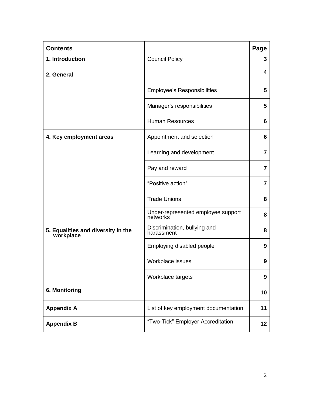| <b>Contents</b>                                 |                                                             | Page |
|-------------------------------------------------|-------------------------------------------------------------|------|
| 1. Introduction                                 | <b>Council Policy</b>                                       | 3    |
| 2. General                                      |                                                             | 4    |
|                                                 | <b>Employee's Responsibilities</b>                          | 5    |
|                                                 | Manager's responsibilities                                  | 5    |
|                                                 | <b>Human Resources</b>                                      | 6    |
| 4. Key employment areas                         | Appointment and selection                                   | 6    |
|                                                 | Learning and development                                    | 7    |
|                                                 | Pay and reward                                              | 7    |
|                                                 | "Positive action"                                           | 7    |
|                                                 | <b>Trade Unions</b>                                         | 8    |
|                                                 | Under-represented employee support<br>networks <sup>'</sup> | 8    |
| 5. Equalities and diversity in the<br>workplace | Discrimination, bullying and<br>harassment                  | 8    |
|                                                 | Employing disabled people                                   | 9    |
|                                                 | Workplace issues                                            | 9    |
|                                                 | Workplace targets                                           | 9    |
| 6. Monitoring                                   |                                                             | 10   |
| <b>Appendix A</b>                               | List of key employment documentation                        | 11   |
| <b>Appendix B</b>                               | "Two-Tick" Employer Accreditation                           | 12   |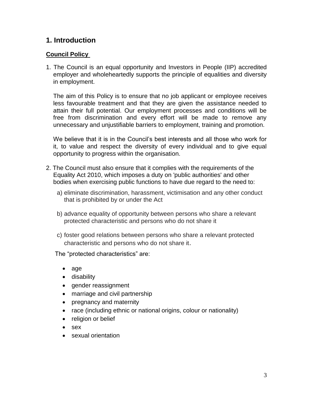## **1. Introduction**

#### **Council Policy**

1. The Council is an equal opportunity and Investors in People (IIP) accredited employer and wholeheartedly supports the principle of equalities and diversity in employment.

The aim of this Policy is to ensure that no job applicant or employee receives less favourable treatment and that they are given the assistance needed to attain their full potential. Our employment processes and conditions will be free from discrimination and every effort will be made to remove any unnecessary and unjustifiable barriers to employment, training and promotion.

We believe that it is in the Council's best interests and all those who work for it, to value and respect the diversity of every individual and to give equal opportunity to progress within the organisation.

- 2. The Council must also ensure that it complies with the requirements of the Equality Act 2010, which imposes a duty on 'public authorities' and other bodies when exercising public functions to have due regard to the need to:
	- a) eliminate discrimination, harassment, victimisation and any other conduct that is prohibited by or under the Act
	- b) advance equality of opportunity between persons who share a relevant protected characteristic and persons who do not share it
	- c) foster good relations between persons who share a relevant protected characteristic and persons who do not share it.

The "protected characteristics" are:

- age
- **•** disability
- gender reassignment
- marriage and civil partnership
- pregnancy and maternity
- race (including ethnic or national origins, colour or nationality)
- religion or belief
- sex
- sexual orientation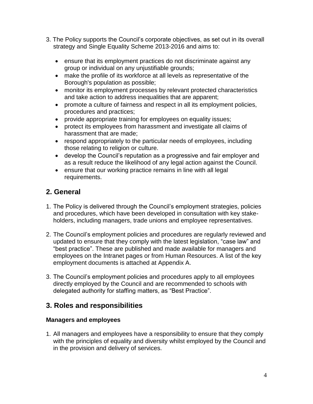- 3. The Policy supports the Council's corporate objectives, as set out in its overall strategy and Single Equality Scheme 2013-2016 and aims to:
	- ensure that its employment practices do not discriminate against any group or individual on any unjustifiable grounds;
	- make the profile of its workforce at all levels as representative of the Borough's population as possible;
	- monitor its employment processes by relevant protected characteristics and take action to address inequalities that are apparent;
	- promote a culture of fairness and respect in all its employment policies, procedures and practices;
	- provide appropriate training for employees on equality issues;
	- protect its employees from harassment and investigate all claims of harassment that are made;
	- respond appropriately to the particular needs of employees, including those relating to religion or culture.
	- develop the Council's reputation as a progressive and fair employer and as a result reduce the likelihood of any legal action against the Council.
	- ensure that our working practice remains in line with all legal requirements.

## **2. General**

- 1. The Policy is delivered through the Council's employment strategies, policies and procedures, which have been developed in consultation with key stakeholders, including managers, trade unions and employee representatives.
- 2. The Council's employment policies and procedures are regularly reviewed and updated to ensure that they comply with the latest legislation, "case law" and "best practice". These are published and made available for managers and employees on the Intranet pages or from Human Resources. A list of the key employment documents is attached at Appendix A.
- 3. The Council's employment policies and procedures apply to all employees directly employed by the Council and are recommended to schools with delegated authority for staffing matters, as "Best Practice".

## **3. Roles and responsibilities**

### **Managers and employees**

1. All managers and employees have a responsibility to ensure that they comply with the principles of equality and diversity whilst employed by the Council and in the provision and delivery of services.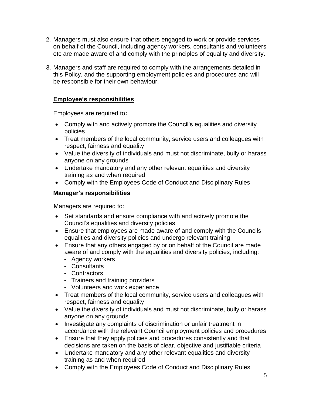- 2. Managers must also ensure that others engaged to work or provide services on behalf of the Council, including agency workers, consultants and volunteers etc are made aware of and comply with the principles of equality and diversity.
- 3. Managers and staff are required to comply with the arrangements detailed in this Policy, and the supporting employment policies and procedures and will be responsible for their own behaviour.

#### **Employee's responsibilities**

Employees are required to**:**

- Comply with and actively promote the Council's equalities and diversity policies
- Treat members of the local community, service users and colleagues with respect, fairness and equality
- Value the diversity of individuals and must not discriminate, bully or harass anyone on any grounds
- Undertake mandatory and any other relevant equalities and diversity training as and when required
- Comply with the Employees Code of Conduct and Disciplinary Rules

#### **Manager's responsibilities**

Managers are required to:

- Set standards and ensure compliance with and actively promote the Council's equalities and diversity policies
- Ensure that employees are made aware of and comply with the Councils equalities and diversity policies and undergo relevant training
- Ensure that any others engaged by or on behalf of the Council are made aware of and comply with the equalities and diversity policies, including:
	- Agency workers
	- Consultants
	- Contractors
	- Trainers and training providers
	- Volunteers and work experience
- Treat members of the local community, service users and colleagues with respect, fairness and equality
- Value the diversity of individuals and must not discriminate, bully or harass anyone on any grounds
- Investigate any complaints of discrimination or unfair treatment in accordance with the relevant Council employment policies and procedures
- Ensure that they apply policies and procedures consistently and that decisions are taken on the basis of clear, objective and justifiable criteria
- Undertake mandatory and any other relevant equalities and diversity training as and when required
- Comply with the Employees Code of Conduct and Disciplinary Rules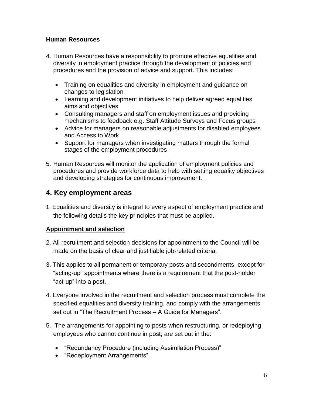#### **Human Resources**

- 4. Human Resources have a responsibility to promote effective equalities and diversity in employment practice through the development of policies and procedures and the provision of advice and support. This includes:
	- Training on equalities and diversity in employment and guidance on changes to legislation
	- Learning and development initiatives to help deliver agreed equalities aims and objectives
	- Consulting managers and staff on employment issues and providing mechanisms to feedback e.g. Staff Attitude Surveys and Focus groups
	- Advice for managers on reasonable adjustments for disabled employees and Access to Work
	- Support for managers when investigating matters through the formal stages of the employment procedures
- 5. Human Resources will monitor the application of employment policies and procedures and provide workforce data to help with setting equality objectives and developing strategies for continuous improvement.

## **4. Key employment areas**

1. Equalities and diversity is integral to every aspect of employment practice and the following details the key principles that must be applied.

#### **Appointment and selection**

- 2. All recruitment and selection decisions for appointment to the Council will be made on the basis of clear and justifiable job-related criteria.
- 3. This applies to all permanent or temporary posts and secondments, except for "acting-up" appointments where there is a requirement that the post-holder "act-up" into a post.
- 4. Everyone involved in the recruitment and selection process must complete the specified equalities and diversity training, and comply with the arrangements set out in "The Recruitment Process – A Guide for Managers".
- 5. The arrangements for appointing to posts when restructuring, or redeploying employees who cannot continue in post, are set out in the:
	- "Redundancy Procedure (including Assimilation Process)"
	- "Redeployment Arrangements"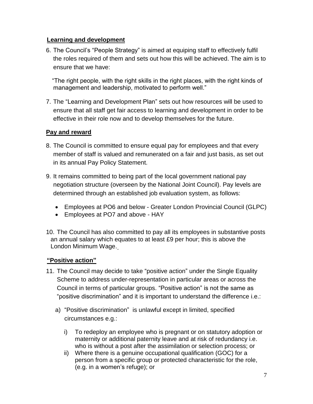#### **Learning and development**

6. The Council's "People Strategy" is aimed at equiping staff to effectively fulfil the roles required of them and sets out how this will be achieved. The aim is to ensure that we have:

 "The right people, with the right skills in the right places, with the right kinds of management and leadership, motivated to perform well."

7. The "Learning and Development Plan" sets out how resources will be used to ensure that all staff get fair access to learning and development in order to be effective in their role now and to develop themselves for the future.

### **Pay and reward**

- 8. The Council is committed to ensure equal pay for employees and that every member of staff is valued and remunerated on a fair and just basis, as set out in its annual Pay Policy Statement.
- 9. It remains committed to being part of the local government national pay negotiation structure (overseen by the National Joint Council). Pay levels are determined through an established job evaluation system, as follows:
	- Employees at PO6 and below Greater London Provincial Council (GLPC)
	- Employees at PO7 and above HAY
- 10. The Council has also committed to pay all its employees in substantive posts an annual salary which equates to at least £9 per hour; this is above the London Minimum Wage.

### **"Positive action"**

- 11. The Council may decide to take "positive action" under the Single Equality Scheme to address under-representation in particular areas or across the Council in terms of particular groups. "Positive action" is not the same as "positive discrimination" and it is important to understand the difference i.e.:
	- a) "Positive discrimination" is unlawful except in limited, specified circumstances e.g.:
		- i) To redeploy an employee who is pregnant or on statutory adoption or maternity or additional paternity leave and at risk of redundancy i.e. who is without a post after the assimilation or selection process; or
		- ii) Where there is a genuine occupational qualification (GOC) for a person from a specific group or protected characteristic for the role, (e.g. in a women's refuge); or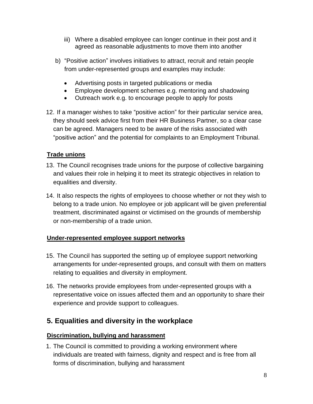- iii) Where a disabled employee can longer continue in their post and it agreed as reasonable adjustments to move them into another
- b) "Positive action" involves initiatives to attract, recruit and retain people from under-represented groups and examples may include:
	- Advertising posts in targeted publications or media
	- Employee development schemes e.g. mentoring and shadowing
	- Outreach work e.g. to encourage people to apply for posts
- 12. If a manager wishes to take "positive action" for their particular service area, they should seek advice first from their HR Business Partner, so a clear case can be agreed. Managers need to be aware of the risks associated with "positive action" and the potential for complaints to an Employment Tribunal.

#### **Trade unions**

- 13. The Council recognises trade unions for the purpose of collective bargaining and values their role in helping it to meet its strategic objectives in relation to equalities and diversity.
- 14. It also respects the rights of employees to choose whether or not they wish to belong to a trade union. No employee or job applicant will be given preferential treatment, discriminated against or victimised on the grounds of membership or non-membership of a trade union.

#### **Under-represented employee support networks**

- 15. The Council has supported the setting up of employee support networking arrangements for under-represented groups, and consult with them on matters relating to equalities and diversity in employment.
- 16. The networks provide employees from under-represented groups with a representative voice on issues affected them and an opportunity to share their experience and provide support to colleagues.

## **5. Equalities and diversity in the workplace**

#### **Discrimination, bullying and harassment**

1. The Council is committed to providing a working environment where individuals are treated with fairness, dignity and respect and is free from all forms of discrimination, bullying and harassment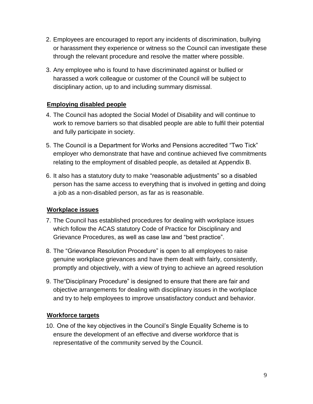- 2. Employees are encouraged to report any incidents of discrimination, bullying or harassment they experience or witness so the Council can investigate these through the relevant procedure and resolve the matter where possible.
- 3. Any employee who is found to have discriminated against or bullied or harassed a work colleague or customer of the Council will be subject to disciplinary action, up to and including summary dismissal.

#### **Employing disabled people**

- 4. The Council has adopted the Social Model of Disability and will continue to work to remove barriers so that disabled people are able to fulfil their potential and fully participate in society.
- 5. The Council is a Department for Works and Pensions accredited "Two Tick" employer who demonstrate that have and continue achieved five commitments relating to the employment of disabled people, as detailed at Appendix B.
- 6. It also has a statutory duty to make "reasonable adjustments" so a disabled person has the same access to everything that is involved in getting and doing a job as a non-disabled person, as far as is reasonable.

### **Workplace issues**

- 7. The Council has established procedures for dealing with workplace issues which follow the ACAS statutory Code of Practice for Disciplinary and Grievance Procedures, as well as case law and "best practice".
- 8. The "Grievance Resolution Procedure" is open to all employees to raise genuine workplace grievances and have them dealt with fairly, consistently, promptly and objectively, with a view of trying to achieve an agreed resolution
- 9. The"Disciplinary Procedure" is designed to ensure that there are fair and objective arrangements for dealing with disciplinary issues in the workplace and try to help employees to improve unsatisfactory conduct and behavior.

### **Workforce targets**

10. One of the key objectives in the Council's Single Equality Scheme is to ensure the development of an effective and diverse workforce that is representative of the community served by the Council.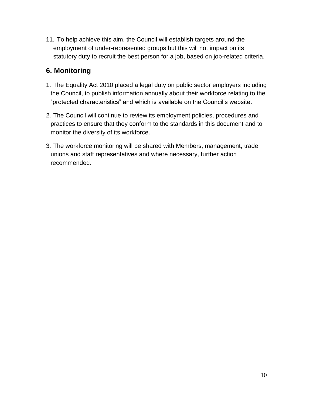11. To help achieve this aim, the Council will establish targets around the employment of under-represented groups but this will not impact on its statutory duty to recruit the best person for a job, based on job-related criteria.

## **6. Monitoring**

- 1. The Equality Act 2010 placed a legal duty on public sector employers including the Council, to publish information annually about their workforce relating to the "protected characteristics" and which is available on the Council's website.
- 2. The Council will continue to review its employment policies, procedures and practices to ensure that they conform to the standards in this document and to monitor the diversity of its workforce.
- 3. The workforce monitoring will be shared with Members, management, trade unions and staff representatives and where necessary, further action recommended.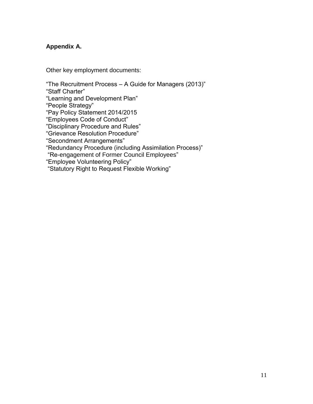### **Appendix A.**

Other key employment documents:

"The Recruitment Process – A Guide for Managers (2013)"

"Staff Charter"

"Learning and Development Plan"

"People Strategy"

"Pay Policy Statement 2014/2015

"Employees Code of Conduct"

"Disciplinary Procedure and Rules"

"Grievance Resolution Procedure"

"Secondment Arrangements"

"Redundancy Procedure (including Assimilation Process)"

"Re-engagement of Former Council Employees"

"Employee Volunteering Policy"

"Statutory Right to Request Flexible Working"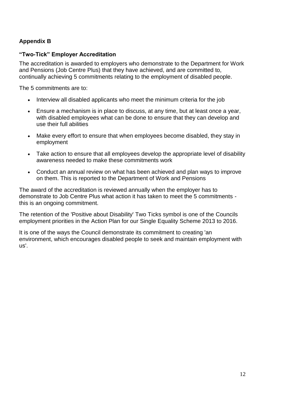### **Appendix B**

#### **"Two-Tick" Employer Accreditation**

The accreditation is awarded to employers who demonstrate to the Department for Work and Pensions (Job Centre Plus) that they have achieved, and are committed to, continually achieving 5 commitments relating to the employment of disabled people.

The 5 commitments are to:

- Interview all disabled applicants who meet the minimum criteria for the job
- Ensure a mechanism is in place to discuss, at any time, but at least once a year, with disabled employees what can be done to ensure that they can develop and use their full abilities
- Make every effort to ensure that when employees become disabled, they stay in employment
- Take action to ensure that all employees develop the appropriate level of disability awareness needed to make these commitments work
- Conduct an annual review on what has been achieved and plan ways to improve on them. This is reported to the Department of Work and Pensions

The award of the accreditation is reviewed annually when the employer has to demonstrate to Job Centre Plus what action it has taken to meet the 5 commitments this is an ongoing commitment.

The retention of the 'Positive about Disability' Two Ticks symbol is one of the Councils employment priorities in the Action Plan for our Single Equality Scheme 2013 to 2016.

It is one of the ways the Council demonstrate its commitment to creating 'an environment, which encourages disabled people to seek and maintain employment with us'.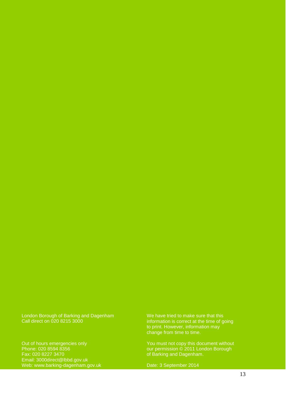#### London Borough of Barking and Dagenham Call direct on 020 8215 3000

Out of hours emergencies only Phone: 020 8594 8356 Fax: 020 8227 3470 [Email: 3000direct@lbbd.gov.uk](mailto:3000direct@lbbd.gov.uk) [Web: www.barking-dagenham.gov.uk](http://www.barking-dagenham.gov.uk/) We have tried to make sure that this information is correct at the time of going to print. However, information may change from time to time.

You must not copy this document without our permission © 2011 London Borough of Barking and Dagenham.

Date: 3 September 2014